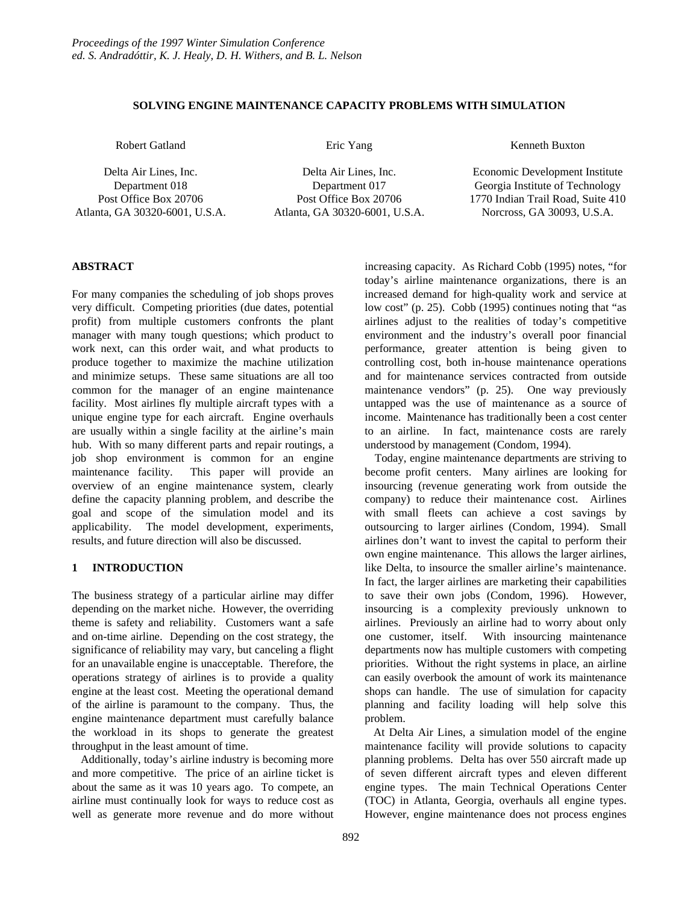## **SOLVING ENGINE MAINTENANCE CAPACITY PROBLEMS WITH SIMULATION**

Robert Gatland

Delta Air Lines, Inc. Department 018 Post Office Box 20706 Atlanta, GA 30320-6001, U.S.A. Eric Yang

Delta Air Lines, Inc. Department 017 Post Office Box 20706 Atlanta, GA 30320-6001, U.S.A. Kenneth Buxton

Economic Development Institute Georgia Institute of Technology 1770 Indian Trail Road, Suite 410 Norcross, GA 30093, U.S.A.

## **ABSTRACT**

For many companies the scheduling of job shops proves very difficult. Competing priorities (due dates, potential profit) from multiple customers confronts the plant manager with many tough questions; which product to work next, can this order wait, and what products to produce together to maximize the machine utilization and minimize setups. These same situations are all too common for the manager of an engine maintenance facility. Most airlines fly multiple aircraft types with a unique engine type for each aircraft. Engine overhauls are usually within a single facility at the airline's main hub. With so many different parts and repair routings, a job shop environment is common for an engine maintenance facility. This paper will provide an overview of an engine maintenance system, clearly define the capacity planning problem, and describe the goal and scope of the simulation model and its applicability. The model development, experiments, results, and future direction will also be discussed.

## **1 INTRODUCTION**

The business strategy of a particular airline may differ depending on the market niche. However, the overriding theme is safety and reliability. Customers want a safe and on-time airline. Depending on the cost strategy, the significance of reliability may vary, but canceling a flight for an unavailable engine is unacceptable. Therefore, the operations strategy of airlines is to provide a quality engine at the least cost. Meeting the operational demand of the airline is paramount to the company. Thus, the engine maintenance department must carefully balance the workload in its shops to generate the greatest throughput in the least amount of time.

 Additionally, today's airline industry is becoming more and more competitive. The price of an airline ticket is about the same as it was 10 years ago. To compete, an airline must continually look for ways to reduce cost as well as generate more revenue and do more without

increasing capacity. As Richard Cobb (1995) notes, "for today's airline maintenance organizations, there is an increased demand for high-quality work and service at low cost" (p. 25). Cobb (1995) continues noting that "as airlines adjust to the realities of today's competitive environment and the industry's overall poor financial performance, greater attention is being given to controlling cost, both in-house maintenance operations and for maintenance services contracted from outside maintenance vendors" (p. 25). One way previously untapped was the use of maintenance as a source of income. Maintenance has traditionally been a cost center to an airline. In fact, maintenance costs are rarely understood by management (Condom, 1994).

 Today, engine maintenance departments are striving to become profit centers. Many airlines are looking for insourcing (revenue generating work from outside the company) to reduce their maintenance cost. Airlines with small fleets can achieve a cost savings by outsourcing to larger airlines (Condom, 1994). Small airlines don't want to invest the capital to perform their own engine maintenance. This allows the larger airlines, like Delta, to insource the smaller airline's maintenance. In fact, the larger airlines are marketing their capabilities to save their own jobs (Condom, 1996). However, insourcing is a complexity previously unknown to airlines. Previously an airline had to worry about only one customer, itself. With insourcing maintenance departments now has multiple customers with competing priorities. Without the right systems in place, an airline can easily overbook the amount of work its maintenance shops can handle. The use of simulation for capacity planning and facility loading will help solve this problem.

 At Delta Air Lines, a simulation model of the engine maintenance facility will provide solutions to capacity planning problems. Delta has over 550 aircraft made up of seven different aircraft types and eleven different engine types. The main Technical Operations Center (TOC) in Atlanta, Georgia, overhauls all engine types. However, engine maintenance does not process engines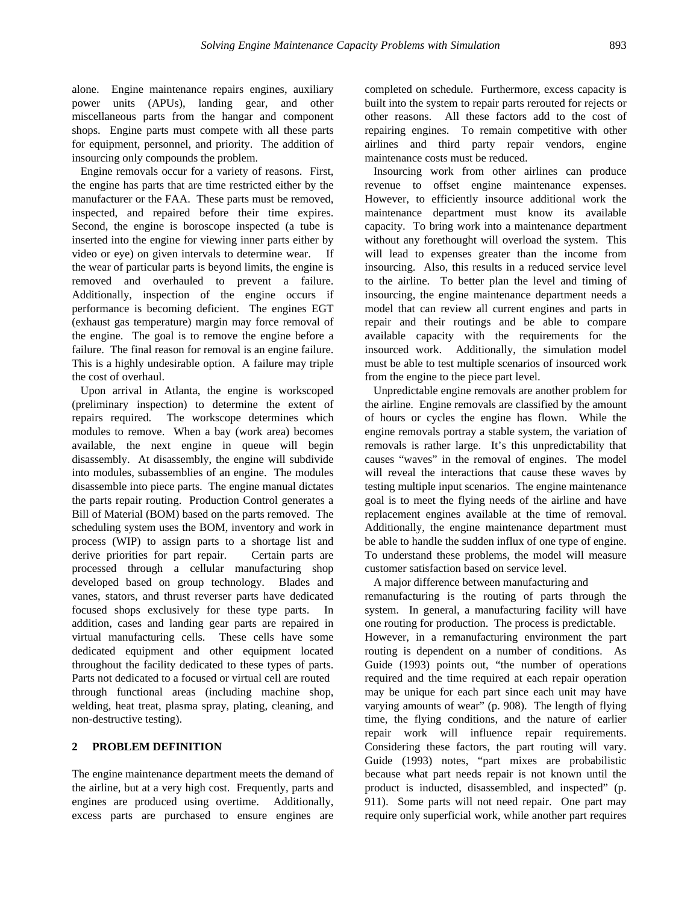alone. Engine maintenance repairs engines, auxiliary power units (APUs), landing gear, and other miscellaneous parts from the hangar and component shops. Engine parts must compete with all these parts for equipment, personnel, and priority. The addition of insourcing only compounds the problem.

 Engine removals occur for a variety of reasons. First, the engine has parts that are time restricted either by the manufacturer or the FAA. These parts must be removed, inspected, and repaired before their time expires. Second, the engine is boroscope inspected (a tube is inserted into the engine for viewing inner parts either by video or eye) on given intervals to determine wear. If the wear of particular parts is beyond limits, the engine is removed and overhauled to prevent a failure. Additionally, inspection of the engine occurs if performance is becoming deficient. The engines EGT (exhaust gas temperature) margin may force removal of the engine. The goal is to remove the engine before a failure. The final reason for removal is an engine failure. This is a highly undesirable option. A failure may triple the cost of overhaul.

 Upon arrival in Atlanta, the engine is workscoped (preliminary inspection) to determine the extent of repairs required. The workscope determines which modules to remove. When a bay (work area) becomes available, the next engine in queue will begin disassembly. At disassembly, the engine will subdivide into modules, subassemblies of an engine. The modules disassemble into piece parts. The engine manual dictates the parts repair routing. Production Control generates a Bill of Material (BOM) based on the parts removed. The scheduling system uses the BOM, inventory and work in process (WIP) to assign parts to a shortage list and derive priorities for part repair. Certain parts are processed through a cellular manufacturing shop developed based on group technology. Blades and vanes, stators, and thrust reverser parts have dedicated focused shops exclusively for these type parts. In addition, cases and landing gear parts are repaired in virtual manufacturing cells. These cells have some dedicated equipment and other equipment located throughout the facility dedicated to these types of parts. Parts not dedicated to a focused or virtual cell are routed through functional areas (including machine shop, welding, heat treat, plasma spray, plating, cleaning, and non-destructive testing).

# **2 PROBLEM DEFINITION**

The engine maintenance department meets the demand of the airline, but at a very high cost. Frequently, parts and engines are produced using overtime. Additionally, excess parts are purchased to ensure engines are completed on schedule. Furthermore, excess capacity is built into the system to repair parts rerouted for rejects or other reasons. All these factors add to the cost of repairing engines. To remain competitive with other airlines and third party repair vendors, engine maintenance costs must be reduced.

 Insourcing work from other airlines can produce revenue to offset engine maintenance expenses. However, to efficiently insource additional work the maintenance department must know its available capacity. To bring work into a maintenance department without any forethought will overload the system. This will lead to expenses greater than the income from insourcing. Also, this results in a reduced service level to the airline. To better plan the level and timing of insourcing, the engine maintenance department needs a model that can review all current engines and parts in repair and their routings and be able to compare available capacity with the requirements for the insourced work. Additionally, the simulation model must be able to test multiple scenarios of insourced work from the engine to the piece part level.

 Unpredictable engine removals are another problem for the airline. Engine removals are classified by the amount of hours or cycles the engine has flown. While the engine removals portray a stable system, the variation of removals is rather large. It's this unpredictability that causes "waves" in the removal of engines. The model will reveal the interactions that cause these waves by testing multiple input scenarios. The engine maintenance goal is to meet the flying needs of the airline and have replacement engines available at the time of removal. Additionally, the engine maintenance department must be able to handle the sudden influx of one type of engine. To understand these problems, the model will measure customer satisfaction based on service level.

 A major difference between manufacturing and remanufacturing is the routing of parts through the system. In general, a manufacturing facility will have one routing for production. The process is predictable. However, in a remanufacturing environment the part routing is dependent on a number of conditions. As Guide (1993) points out, "the number of operations required and the time required at each repair operation may be unique for each part since each unit may have varying amounts of wear" (p. 908). The length of flying time, the flying conditions, and the nature of earlier repair work will influence repair requirements. Considering these factors, the part routing will vary. Guide (1993) notes, "part mixes are probabilistic because what part needs repair is not known until the product is inducted, disassembled, and inspected" (p. 911). Some parts will not need repair. One part may require only superficial work, while another part requires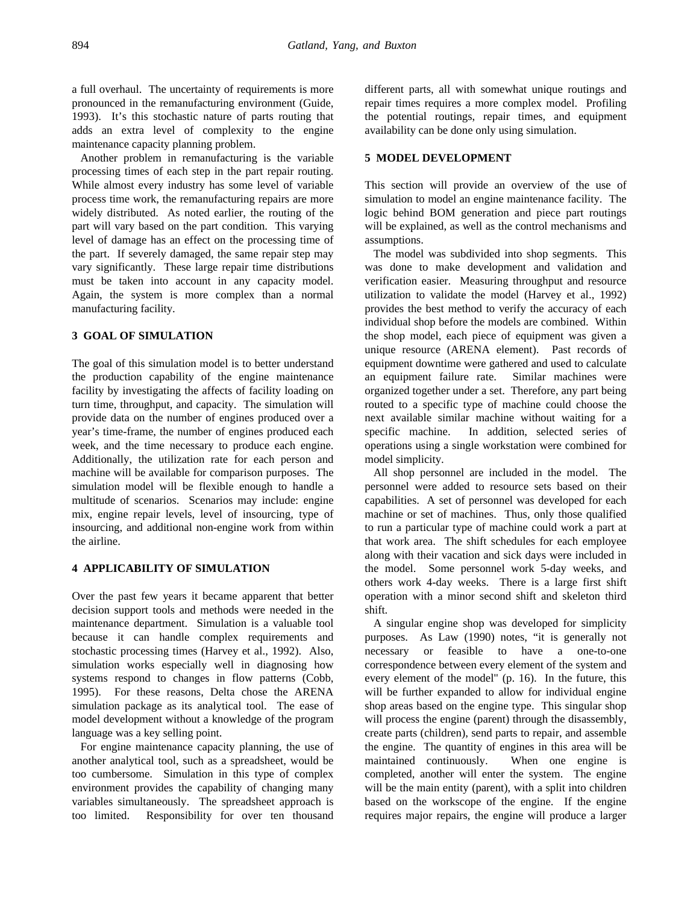a full overhaul. The uncertainty of requirements is more pronounced in the remanufacturing environment (Guide, 1993). It's this stochastic nature of parts routing that adds an extra level of complexity to the engine maintenance capacity planning problem.

 Another problem in remanufacturing is the variable processing times of each step in the part repair routing. While almost every industry has some level of variable process time work, the remanufacturing repairs are more widely distributed. As noted earlier, the routing of the part will vary based on the part condition. This varying level of damage has an effect on the processing time of the part. If severely damaged, the same repair step may vary significantly. These large repair time distributions must be taken into account in any capacity model. Again, the system is more complex than a normal manufacturing facility.

## **3 GOAL OF SIMULATION**

The goal of this simulation model is to better understand the production capability of the engine maintenance facility by investigating the affects of facility loading on turn time, throughput, and capacity. The simulation will provide data on the number of engines produced over a year's time-frame, the number of engines produced each week, and the time necessary to produce each engine. Additionally, the utilization rate for each person and machine will be available for comparison purposes. The simulation model will be flexible enough to handle a multitude of scenarios. Scenarios may include: engine mix, engine repair levels, level of insourcing, type of insourcing, and additional non-engine work from within the airline.

### **4 APPLICABILITY OF SIMULATION**

Over the past few years it became apparent that better decision support tools and methods were needed in the maintenance department. Simulation is a valuable tool because it can handle complex requirements and stochastic processing times (Harvey et al., 1992). Also, simulation works especially well in diagnosing how systems respond to changes in flow patterns (Cobb, 1995). For these reasons, Delta chose the ARENA simulation package as its analytical tool. The ease of model development without a knowledge of the program language was a key selling point.

 For engine maintenance capacity planning, the use of another analytical tool, such as a spreadsheet, would be too cumbersome. Simulation in this type of complex environment provides the capability of changing many variables simultaneously. The spreadsheet approach is too limited. Responsibility for over ten thousand

different parts, all with somewhat unique routings and repair times requires a more complex model. Profiling the potential routings, repair times, and equipment availability can be done only using simulation.

## **5 MODEL DEVELOPMENT**

This section will provide an overview of the use of simulation to model an engine maintenance facility. The logic behind BOM generation and piece part routings will be explained, as well as the control mechanisms and assumptions.

The model was subdivided into shop segments. This was done to make development and validation and verification easier. Measuring throughput and resource utilization to validate the model (Harvey et al., 1992) provides the best method to verify the accuracy of each individual shop before the models are combined. Within the shop model, each piece of equipment was given a unique resource (ARENA element). Past records of equipment downtime were gathered and used to calculate an equipment failure rate. Similar machines were organized together under a set. Therefore, any part being routed to a specific type of machine could choose the next available similar machine without waiting for a specific machine. In addition, selected series of operations using a single workstation were combined for model simplicity.

 All shop personnel are included in the model. The personnel were added to resource sets based on their capabilities. A set of personnel was developed for each machine or set of machines. Thus, only those qualified to run a particular type of machine could work a part at that work area. The shift schedules for each employee along with their vacation and sick days were included in the model. Some personnel work 5-day weeks, and others work 4-day weeks. There is a large first shift operation with a minor second shift and skeleton third shift.

 A singular engine shop was developed for simplicity purposes. As Law (1990) notes, "it is generally not necessary or feasible to have a one-to-one correspondence between every element of the system and every element of the model" (p. 16). In the future, this will be further expanded to allow for individual engine shop areas based on the engine type. This singular shop will process the engine (parent) through the disassembly, create parts (children), send parts to repair, and assemble the engine. The quantity of engines in this area will be maintained continuously. When one engine is completed, another will enter the system. The engine will be the main entity (parent), with a split into children based on the workscope of the engine. If the engine requires major repairs, the engine will produce a larger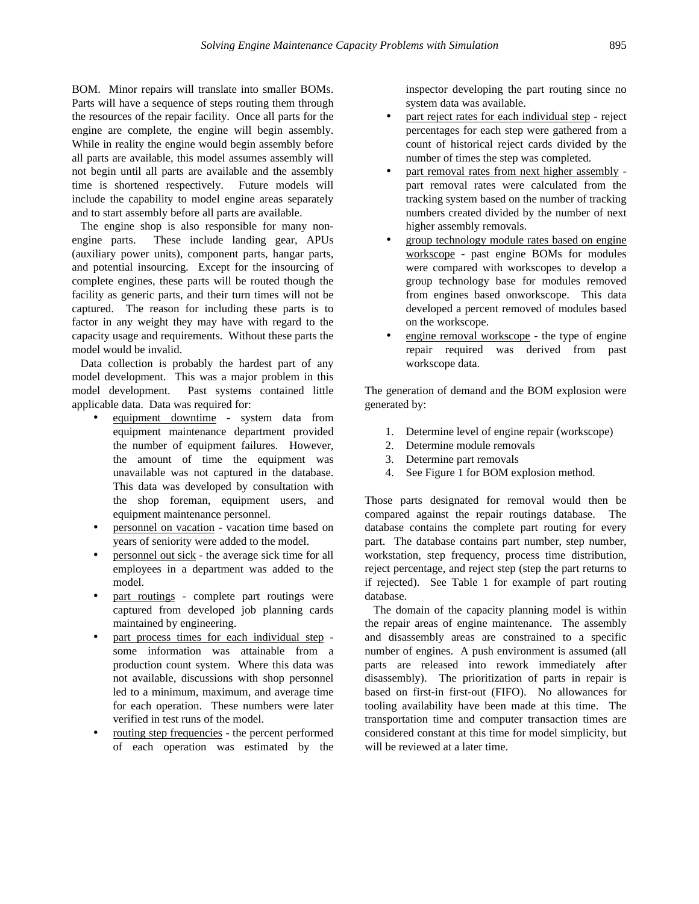BOM. Minor repairs will translate into smaller BOMs. Parts will have a sequence of steps routing them through the resources of the repair facility. Once all parts for the engine are complete, the engine will begin assembly. While in reality the engine would begin assembly before all parts are available, this model assumes assembly will not begin until all parts are available and the assembly time is shortened respectively. Future models will include the capability to model engine areas separately and to start assembly before all parts are available.

 The engine shop is also responsible for many nonengine parts. These include landing gear, APUs (auxiliary power units), component parts, hangar parts, and potential insourcing. Except for the insourcing of complete engines, these parts will be routed though the facility as generic parts, and their turn times will not be captured. The reason for including these parts is to factor in any weight they may have with regard to the capacity usage and requirements. Without these parts the model would be invalid.

 Data collection is probably the hardest part of any model development. This was a major problem in this model development. Past systems contained little applicable data. Data was required for:

- equipment downtime system data from equipment maintenance department provided the number of equipment failures. However, the amount of time the equipment was unavailable was not captured in the database. This data was developed by consultation with the shop foreman, equipment users, and equipment maintenance personnel.
- personnel on vacation vacation time based on years of seniority were added to the model.
- personnel out sick the average sick time for all employees in a department was added to the model.
- part routings complete part routings were captured from developed job planning cards maintained by engineering.
- part process times for each individual step some information was attainable from a production count system. Where this data was not available, discussions with shop personnel led to a minimum, maximum, and average time for each operation. These numbers were later verified in test runs of the model.
- routing step frequencies the percent performed of each operation was estimated by the

inspector developing the part routing since no system data was available.

- part reject rates for each individual step reject percentages for each step were gathered from a count of historical reject cards divided by the number of times the step was completed.
- part removal rates from next higher assembly part removal rates were calculated from the tracking system based on the number of tracking numbers created divided by the number of next higher assembly removals.
- group technology module rates based on engine workscope - past engine BOMs for modules were compared with workscopes to develop a group technology base for modules removed from engines based onworkscope. This data developed a percent removed of modules based on the workscope.
- engine removal workscope the type of engine repair required was derived from past workscope data.

The generation of demand and the BOM explosion were generated by:

- 1. Determine level of engine repair (workscope)
- 2. Determine module removals
- 3. Determine part removals
- 4. See Figure 1 for BOM explosion method.

Those parts designated for removal would then be compared against the repair routings database. The database contains the complete part routing for every part. The database contains part number, step number, workstation, step frequency, process time distribution, reject percentage, and reject step (step the part returns to if rejected). See Table 1 for example of part routing database.

 The domain of the capacity planning model is within the repair areas of engine maintenance. The assembly and disassembly areas are constrained to a specific number of engines. A push environment is assumed (all parts are released into rework immediately after disassembly). The prioritization of parts in repair is based on first-in first-out (FIFO). No allowances for tooling availability have been made at this time. The transportation time and computer transaction times are considered constant at this time for model simplicity, but will be reviewed at a later time.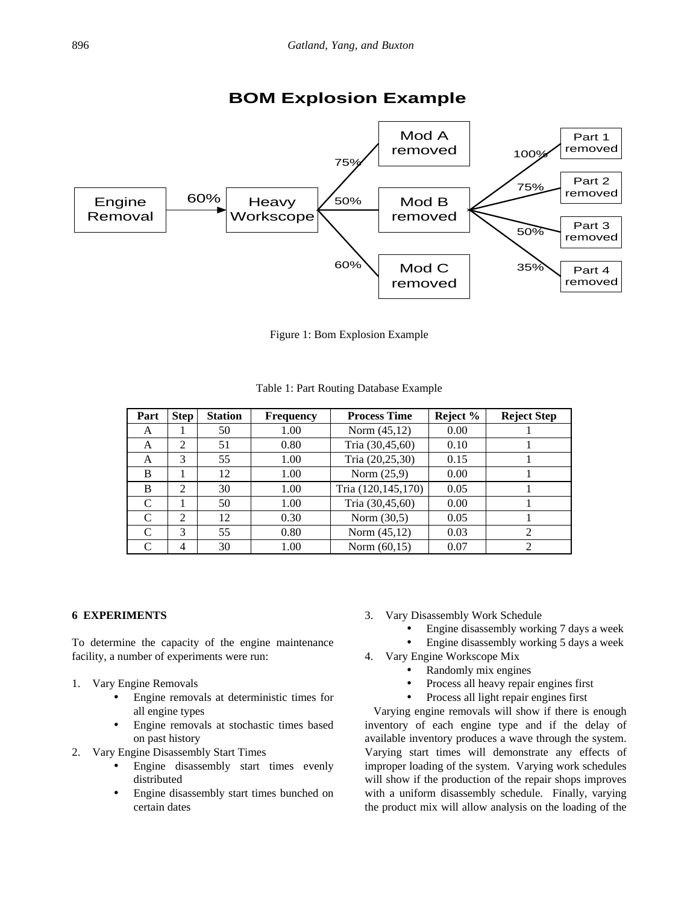# **BOM Explosion Example**



Figure 1: Bom Explosion Example

| Part | <b>Step</b>    | <b>Station</b> | <b>Frequency</b> | <b>Process Time</b> | Reject % | <b>Reject Step</b> |
|------|----------------|----------------|------------------|---------------------|----------|--------------------|
| A    |                | 50             | 1.00             | Norm $(45,12)$      | 0.00     |                    |
| A    | 2              | 51             | 0.80             | Tria (30,45,60)     | 0.10     |                    |
| A    | 3              | 55             | 1.00             | Tria (20,25,30)     | 0.15     |                    |
| B    |                | 12             | 1.00             | Norm $(25.9)$       | 0.00     |                    |
| B    | $\mathfrak{D}$ | 30             | 1.00             | Tria (120,145,170)  | 0.05     |                    |
| C    |                | 50             | 1.00             | Tria (30,45,60)     | 0.00     |                    |
| C    | 2              | 12             | 0.30             | Norm $(30.5)$       | 0.05     |                    |
| C    | 3              | 55             | 0.80             | Norm $(45,12)$      | 0.03     | 2                  |
| C    | 4              | 30             | 1.00             | Norm $(60, 15)$     | 0.07     | $\mathfrak{D}$     |

# **6 EXPERIMENTS**

To determine the capacity of the engine maintenance facility, a number of experiments were run:

- 1. Vary Engine Removals
	- Engine removals at deterministic times for all engine types
	- Engine removals at stochastic times based on past history
- 2. Vary Engine Disassembly Start Times
	- Engine disassembly start times evenly distributed
	- Engine disassembly start times bunched on certain dates
- 3. Vary Disassembly Work Schedule
	- Engine disassembly working 7 days a week
	- Engine disassembly working 5 days a week
- 4. Vary Engine Workscope Mix
	- Randomly mix engines
	- Process all heavy repair engines first
	- Process all light repair engines first

 Varying engine removals will show if there is enough inventory of each engine type and if the delay of available inventory produces a wave through the system. Varying start times will demonstrate any effects of improper loading of the system. Varying work schedules will show if the production of the repair shops improves with a uniform disassembly schedule. Finally, varying the product mix will allow analysis on the loading of the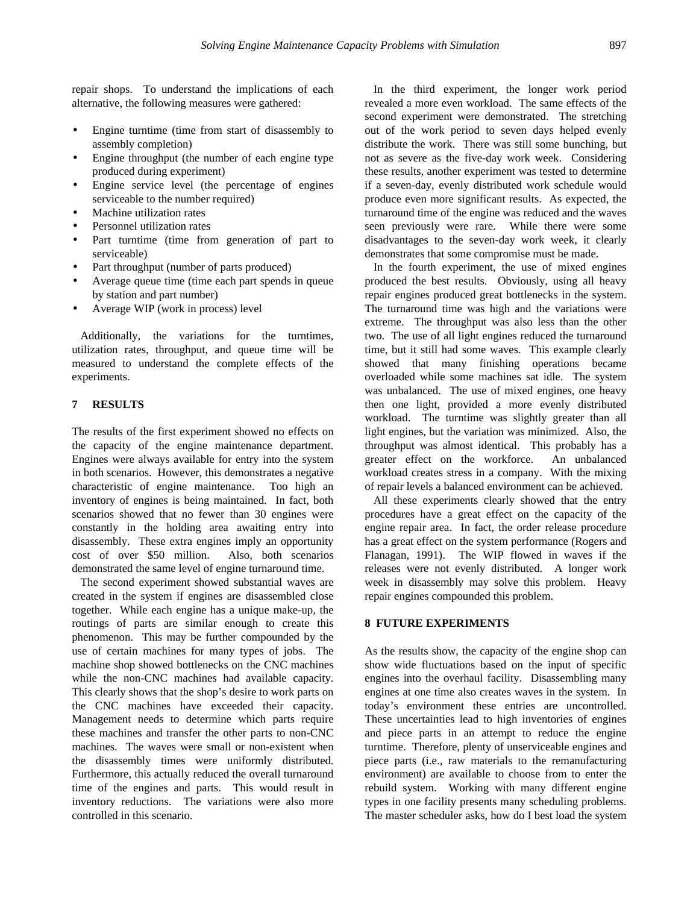repair shops. To understand the implications of each alternative, the following measures were gathered:

- Engine turntime (time from start of disassembly to assembly completion)
- Engine throughput (the number of each engine type produced during experiment)
- Engine service level (the percentage of engines serviceable to the number required)
- Machine utilization rates
- Personnel utilization rates
- Part turntime (time from generation of part to serviceable)
- Part throughput (number of parts produced)
- Average queue time (time each part spends in queue by station and part number)
- Average WIP (work in process) level

 Additionally, the variations for the turntimes, utilization rates, throughput, and queue time will be measured to understand the complete effects of the experiments.

### **7 RESULTS**

The results of the first experiment showed no effects on the capacity of the engine maintenance department. Engines were always available for entry into the system in both scenarios. However, this demonstrates a negative characteristic of engine maintenance. Too high an inventory of engines is being maintained. In fact, both scenarios showed that no fewer than 30 engines were constantly in the holding area awaiting entry into disassembly. These extra engines imply an opportunity cost of over \$50 million. Also, both scenarios demonstrated the same level of engine turnaround time.

 The second experiment showed substantial waves are created in the system if engines are disassembled close together. While each engine has a unique make-up, the routings of parts are similar enough to create this phenomenon. This may be further compounded by the use of certain machines for many types of jobs. The machine shop showed bottlenecks on the CNC machines while the non-CNC machines had available capacity. This clearly shows that the shop's desire to work parts on the CNC machines have exceeded their capacity. Management needs to determine which parts require these machines and transfer the other parts to non-CNC machines. The waves were small or non-existent when the disassembly times were uniformly distributed. Furthermore, this actually reduced the overall turnaround time of the engines and parts. This would result in inventory reductions. The variations were also more controlled in this scenario.

 In the third experiment, the longer work period revealed a more even workload. The same effects of the second experiment were demonstrated. The stretching out of the work period to seven days helped evenly distribute the work. There was still some bunching, but not as severe as the five-day work week. Considering these results, another experiment was tested to determine if a seven-day, evenly distributed work schedule would produce even more significant results. As expected, the turnaround time of the engine was reduced and the waves seen previously were rare. While there were some disadvantages to the seven-day work week, it clearly demonstrates that some compromise must be made.

 In the fourth experiment, the use of mixed engines produced the best results. Obviously, using all heavy repair engines produced great bottlenecks in the system. The turnaround time was high and the variations were extreme. The throughput was also less than the other two. The use of all light engines reduced the turnaround time, but it still had some waves. This example clearly showed that many finishing operations became overloaded while some machines sat idle. The system was unbalanced. The use of mixed engines, one heavy then one light, provided a more evenly distributed workload. The turntime was slightly greater than all light engines, but the variation was minimized. Also, the throughput was almost identical. This probably has a greater effect on the workforce. An unbalanced workload creates stress in a company. With the mixing of repair levels a balanced environment can be achieved.

 All these experiments clearly showed that the entry procedures have a great effect on the capacity of the engine repair area. In fact, the order release procedure has a great effect on the system performance (Rogers and Flanagan, 1991). The WIP flowed in waves if the releases were not evenly distributed. A longer work week in disassembly may solve this problem. Heavy repair engines compounded this problem.

### **8 FUTURE EXPERIMENTS**

As the results show, the capacity of the engine shop can show wide fluctuations based on the input of specific engines into the overhaul facility. Disassembling many engines at one time also creates waves in the system. In today's environment these entries are uncontrolled. These uncertainties lead to high inventories of engines and piece parts in an attempt to reduce the engine turntime. Therefore, plenty of unserviceable engines and piece parts (i.e., raw materials to the remanufacturing environment) are available to choose from to enter the rebuild system. Working with many different engine types in one facility presents many scheduling problems. The master scheduler asks, how do I best load the system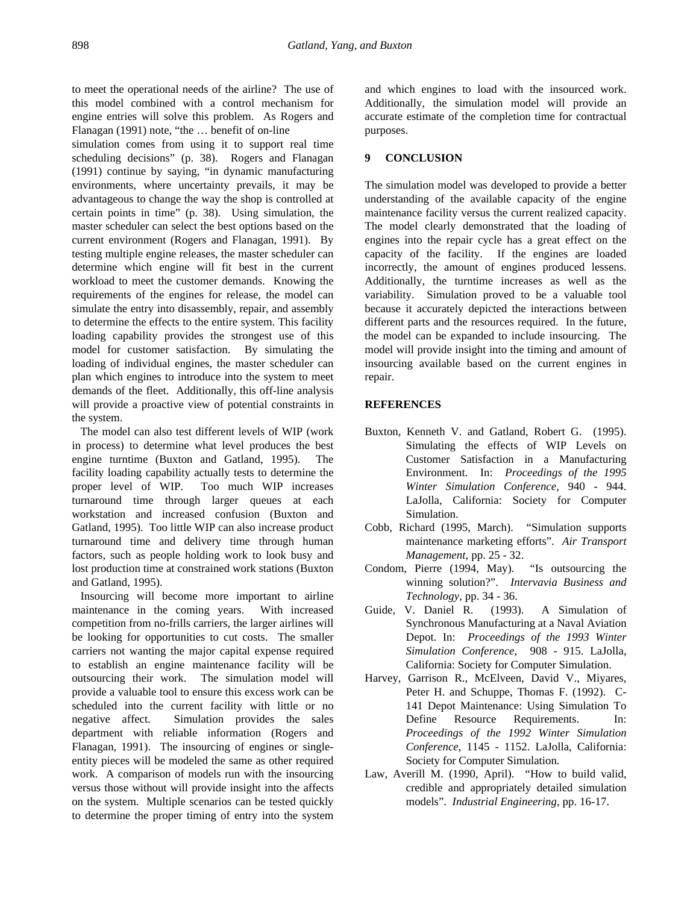to meet the operational needs of the airline? The use of this model combined with a control mechanism for engine entries will solve this problem. As Rogers and Flanagan (1991) note, "the … benefit of on-line

simulation comes from using it to support real time scheduling decisions" (p. 38). Rogers and Flanagan (1991) continue by saying, "in dynamic manufacturing environments, where uncertainty prevails, it may be advantageous to change the way the shop is controlled at certain points in time" (p. 38). Using simulation, the master scheduler can select the best options based on the current environment (Rogers and Flanagan, 1991). By testing multiple engine releases, the master scheduler can determine which engine will fit best in the current workload to meet the customer demands. Knowing the requirements of the engines for release, the model can simulate the entry into disassembly, repair, and assembly to determine the effects to the entire system. This facility loading capability provides the strongest use of this model for customer satisfaction. By simulating the loading of individual engines, the master scheduler can plan which engines to introduce into the system to meet demands of the fleet. Additionally, this off-line analysis will provide a proactive view of potential constraints in the system.

 The model can also test different levels of WIP (work in process) to determine what level produces the best engine turntime (Buxton and Gatland, 1995). The facility loading capability actually tests to determine the proper level of WIP. Too much WIP increases turnaround time through larger queues at each workstation and increased confusion (Buxton and Gatland, 1995). Too little WIP can also increase product turnaround time and delivery time through human factors, such as people holding work to look busy and lost production time at constrained work stations (Buxton and Gatland, 1995).

 Insourcing will become more important to airline maintenance in the coming years. With increased competition from no-frills carriers, the larger airlines will be looking for opportunities to cut costs. The smaller carriers not wanting the major capital expense required to establish an engine maintenance facility will be outsourcing their work. The simulation model will provide a valuable tool to ensure this excess work can be scheduled into the current facility with little or no negative affect. Simulation provides the sales department with reliable information (Rogers and Flanagan, 1991). The insourcing of engines or singleentity pieces will be modeled the same as other required work. A comparison of models run with the insourcing versus those without will provide insight into the affects on the system. Multiple scenarios can be tested quickly to determine the proper timing of entry into the system and which engines to load with the insourced work. Additionally, the simulation model will provide an accurate estimate of the completion time for contractual purposes.

## **9 CONCLUSION**

The simulation model was developed to provide a better understanding of the available capacity of the engine maintenance facility versus the current realized capacity. The model clearly demonstrated that the loading of engines into the repair cycle has a great effect on the capacity of the facility. If the engines are loaded incorrectly, the amount of engines produced lessens. Additionally, the turntime increases as well as the variability. Simulation proved to be a valuable tool because it accurately depicted the interactions between different parts and the resources required. In the future, the model can be expanded to include insourcing. The model will provide insight into the timing and amount of insourcing available based on the current engines in repair.

## **REFERENCES**

- Buxton, Kenneth V. and Gatland, Robert G. (1995). Simulating the effects of WIP Levels on Customer Satisfaction in a Manufacturing Environment. In: *Proceedings of the 1995 Winter Simulation Conference,* 940 - 944. LaJolla, California: Society for Computer Simulation.
- Cobb, Richard (1995, March). "Simulation supports maintenance marketing efforts". *Air Transport Management*, pp. 25 - 32.
- Condom, Pierre (1994, May). "Is outsourcing the winning solution?". *Intervavia Business and Technology*, pp. 34 - 36.
- Guide, V. Daniel R. (1993). A Simulation of Synchronous Manufacturing at a Naval Aviation Depot. In: *Proceedings of the 1993 Winter Simulation Conference*, 908 - 915. LaJolla, California: Society for Computer Simulation.
- Harvey, Garrison R., McElveen, David V., Miyares, Peter H. and Schuppe, Thomas F. (1992). C-141 Depot Maintenance: Using Simulation To Define Resource Requirements. In: *Proceedings of the 1992 Winter Simulation Conference*, 1145 - 1152. LaJolla, California: Society for Computer Simulation.
- Law, Averill M. (1990, April). "How to build valid, credible and appropriately detailed simulation models". *Industrial Engineering*, pp. 16-17.